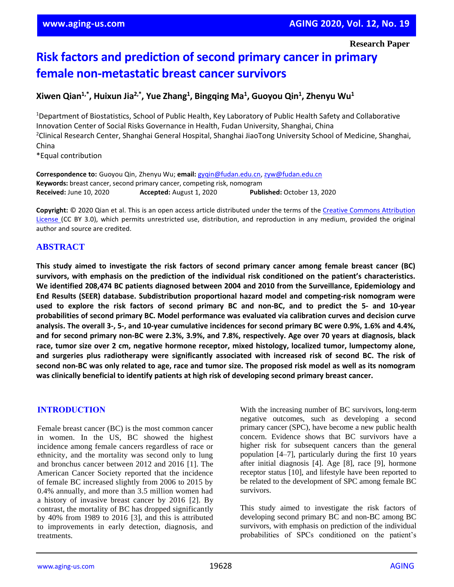# **Risk factors and prediction of second primary cancer in primary female non-metastatic breast cancer survivors**

## **Xiwen Qian1,\*, Huixun Jia2,\*, Yue Zhang<sup>1</sup> , Bingqing Ma<sup>1</sup> , Guoyou Qin<sup>1</sup> , Zhenyu Wu<sup>1</sup>**

<sup>1</sup>Department of Biostatistics, School of Public Health, Key Laboratory of Public Health Safety and Collaborative Innovation Center of Social Risks Governance in Health, Fudan University, Shanghai, China <sup>2</sup>Clinical Research Center, Shanghai General Hospital, Shanghai JiaoTong University School of Medicine, Shanghai, China \*Equal contribution

**Correspondence to:** Guoyou Qin, Zhenyu Wu; **email:** [gyqin@fudan.edu.cn,](mailto:gyqin@fudan.edu.cn) [zyw@fudan.edu.cn](mailto:zyw@fudan.edu.cn) **Keywords:** breast cancer, second primary cancer, competing risk, nomogram **Received:** June 10, 2020 **Accepted:** August 1, 2020 **Published:** October 13, 2020

**Copyright:** © 2020 Qian et al. This is an open access article distributed under the terms of the [Creative Commons Attribution](https://creativecommons.org/licenses/by/3.0/)  [License \(](https://creativecommons.org/licenses/by/3.0/)CC BY 3.0), which permits unrestricted use, distribution, and reproduction in any medium, provided the original author and source are credited.

## **ABSTRACT**

**This study aimed to investigate the risk factors of second primary cancer among female breast cancer (BC) survivors, with emphasis on the prediction of the individual risk conditioned on the patient's characteristics. We identified 208,474 BC patients diagnosed between 2004 and 2010 from the Surveillance, Epidemiology and End Results (SEER) database. Subdistribution proportional hazard model and competing-risk nomogram were** used to explore the risk factors of second primary BC and non-BC, and to predict the 5- and 10-year **probabilities of second primary BC. Model performance was evaluated via calibration curves and decision curve** analysis. The overall 3-, 5-, and 10-year cumulative incidences for second primary BC were 0.9%, 1.6% and 4.4%, and for second primary non-BC were 2.3%, 3.9%, and 7.8%, respectively. Age over 70 years at diagnosis, black **race, tumor size over 2 cm, negative hormone receptor, mixed histology, localized tumor, lumpectomy alone, and surgeries plus radiotherapy were significantly associated with increased risk of second BC. The risk of** second non-BC was only related to age, race and tumor size. The proposed risk model as well as its nomogram **was clinically beneficial to identify patients at high risk of developing second primary breast cancer.**

## **INTRODUCTION**

Female breast cancer (BC) is the most common cancer in women. In the US, BC showed the highest incidence among female cancers regardless of race or ethnicity, and the mortality was second only to lung and bronchus cancer between 2012 and 2016 [1]. The American Cancer Society reported that the incidence of female BC increased slightly from 2006 to 2015 by 0.4% annually, and more than 3.5 million women had a history of invasive breast cancer by 2016 [2]. By contrast, the mortality of BC has dropped significantly by 40% from 1989 to 2016 [3], and this is attributed to improvements in early detection, diagnosis, and treatments.

With the increasing number of BC survivors, long-term negative outcomes, such as developing a second primary cancer (SPC), have become a new public health concern. Evidence shows that BC survivors have a higher risk for subsequent cancers than the general population [4–7], particularly during the first 10 years after initial diagnosis [4]. Age [8], race [9], hormone receptor status [10], and lifestyle have been reported to be related to the development of SPC among female BC survivors.

This study aimed to investigate the risk factors of developing second primary BC and non-BC among BC survivors, with emphasis on prediction of the individual probabilities of SPCs conditioned on the patient's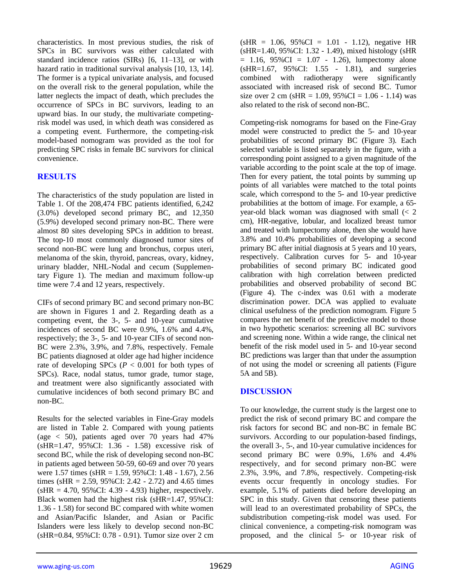characteristics. In most previous studies, the risk of SPCs in BC survivors was either calculated with standard incidence ratios (SIRs) [6, 11–13], or with hazard ratio in traditional survival analysis [10, 13, 14]. The former is a typical univariate analysis, and focused on the overall risk to the general population, while the latter neglects the impact of death, which precludes the occurrence of SPCs in BC survivors, leading to an upward bias. In our study, the multivariate competingrisk model was used, in which death was considered as a competing event. Furthermore, the competing-risk model-based nomogram was provided as the tool for predicting SPC risks in female BC survivors for clinical convenience.

## **RESULTS**

The characteristics of the study population are listed in Table 1. Of the 208,474 FBC patients identified, 6,242 (3.0%) developed second primary BC, and 12,350 (5.9%) developed second primary non-BC. There were almost 80 sites developing SPCs in addition to breast. The top-10 most commonly diagnosed tumor sites of second non-BC were lung and bronchus, corpus uteri, melanoma of the skin, thyroid, pancreas, ovary, kidney, urinary bladder, NHL-Nodal and cecum (Supplementary Figure 1). The median and maximum follow-up time were 7.4 and 12 years, respectively.

CIFs of second primary BC and second primary non-BC are shown in Figures 1 and 2. Regarding death as a competing event, the 3-, 5- and 10-year cumulative incidences of second BC were 0.9%, 1.6% and 4.4%, respectively; the 3-, 5- and 10-year CIFs of second non-BC were 2.3%, 3.9%, and 7.8%, respectively. Female BC patients diagnosed at older age had higher incidence rate of developing SPCs ( $P < 0.001$  for both types of SPCs). Race, nodal status, tumor grade, tumor stage, and treatment were also significantly associated with cumulative incidences of both second primary BC and non-BC.

Results for the selected variables in Fine-Gray models are listed in Table 2. Compared with young patients (age < 50), patients aged over 70 years had 47% (sHR=1.47, 95%CI: 1.36 - 1.58) excessive risk of second BC, while the risk of developing second non-BC in patients aged between 50-59, 60-69 and over 70 years were 1.57 times (sHR = 1.59, 95%CI: 1.48 - 1.67), 2.56 times (sHR =  $2.59$ ,  $95\%$ CI:  $2.42 - 2.72$ ) and  $4.65$  times  $(sHR = 4.70, 95\%CI: 4.39 - 4.93)$  higher, respectively. Black women had the highest risk (sHR=1.47, 95%CI: 1.36 - 1.58) for second BC compared with white women and Asian/Pacific Islander, and Asian or Pacific Islanders were less likely to develop second non-BC (sHR=0.84, 95%CI: 0.78 - 0.91). Tumor size over 2 cm

 $(sHR = 1.06, 95\%CI = 1.01 - 1.12)$ , negative HR (sHR=1.40, 95%CI: 1.32 - 1.49), mixed histology (sHR  $= 1.16, 95\% \text{CI} = 1.07 - 1.26$ , lumpectomy alone (sHR=1.67, 95%CI: 1.55 - 1.81), and surgeries combined with radiotherapy were significantly associated with increased risk of second BC. Tumor size over 2 cm (sHR = 1.09,  $95\%CI = 1.06 - 1.14$ ) was also related to the risk of second non-BC.

Competing-risk nomograms for based on the Fine-Gray model were constructed to predict the 5- and 10-year probabilities of second primary BC (Figure 3). Each selected variable is listed separately in the figure, with a corresponding point assigned to a given magnitude of the variable according to the point scale at the top of image. Then for every patient, the total points by summing up points of all variables were matched to the total points scale, which correspond to the 5- and 10-year predictive probabilities at the bottom of image. For example, a 65 year-old black woman was diagnosed with small (< 2 cm), HR-negative, lobular, and localized breast tumor and treated with lumpectomy alone, then she would have 3.8% and 10.4% probabilities of developing a second primary BC after initial diagnosis at 5 years and 10 years, respectively. Calibration curves for 5- and 10-year probabilities of second primary BC indicated good calibration with high correlation between predicted probabilities and observed probability of second BC (Figure 4). The c-index was 0.61 with a moderate discrimination power. DCA was applied to evaluate clinical usefulness of the prediction nomogram. Figure 5 compares the net benefit of the predictive model to those in two hypothetic scenarios: screening all BC survivors and screening none. Within a wide range, the clinical net benefit of the risk model used in 5- and 10-year second BC predictions was larger than that under the assumption of not using the model or screening all patients (Figure 5A and 5B).

#### **DISCUSSION**

To our knowledge, the current study is the largest one to predict the risk of second primary BC and compare the risk factors for second BC and non-BC in female BC survivors. According to our population-based findings, the overall 3-, 5-, and 10-year cumulative incidences for second primary BC were 0.9%, 1.6% and 4.4% respectively, and for second primary non-BC were 2.3%, 3.9%, and 7.8%, respectively. Competing-risk events occur frequently in oncology studies. For example, 5.1% of patients died before developing an SPC in this study. Given that censoring these patients will lead to an overestimated probability of SPCs, the subdistribution competing-risk model was used. For clinical convenience, a competing-risk nomogram was proposed, and the clinical 5- or 10-year risk of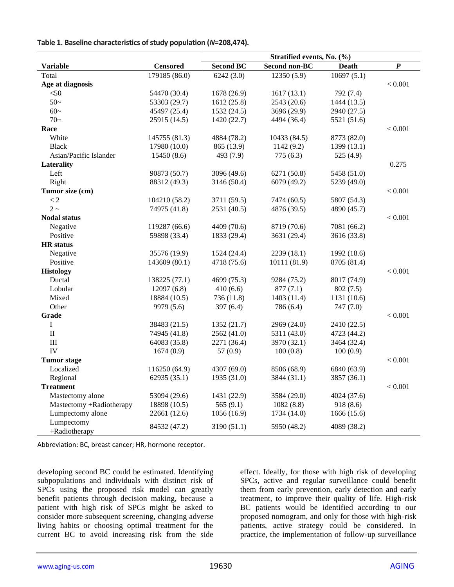|                             |                 | Stratified events, No. (%) |                      |              |                  |
|-----------------------------|-----------------|----------------------------|----------------------|--------------|------------------|
| <b>Variable</b>             | <b>Censored</b> | <b>Second BC</b>           | <b>Second non-BC</b> | <b>Death</b> | $\boldsymbol{P}$ |
| Total                       | 179185 (86.0)   | 6242(3.0)                  | 12350 (5.9)          | 10697(5.1)   |                  |
| Age at diagnosis            |                 |                            |                      |              | < 0.001          |
| $<$ 50                      | 54470 (30.4)    | 1678 (26.9)                | 1617(13.1)           | 792 (7.4)    |                  |
| $50-$                       | 53303 (29.7)    | 1612 (25.8)                | 2543 (20.6)          | 1444 (13.5)  |                  |
| $60-$                       | 45497 (25.4)    | 1532 (24.5)                | 3696 (29.9)          | 2940 (27.5)  |                  |
| $70-$                       | 25915 (14.5)    | 1420 (22.7)                | 4494 (36.4)          | 5521 (51.6)  |                  |
| Race                        |                 |                            |                      |              | ${}< 0.001$      |
| White                       | 145755 (81.3)   | 4884 (78.2)                | 10433 (84.5)         | 8773 (82.0)  |                  |
| <b>Black</b>                | 17980 (10.0)    | 865 (13.9)                 | 1142(9.2)            | 1399(13.1)   |                  |
| Asian/Pacific Islander      | 15450(8.6)      | 493 (7.9)                  | 775(6.3)             | 525 (4.9)    |                  |
| Laterality                  |                 |                            |                      |              | 0.275            |
| Left                        | 90873 (50.7)    | 3096 (49.6)                | 6271 (50.8)          | 5458 (51.0)  |                  |
| Right                       | 88312 (49.3)    | 3146 (50.4)                | 6079 (49.2)          | 5239 (49.0)  |                  |
| Tumor size (cm)             |                 |                            |                      |              | < 0.001          |
| $\lt 2$                     | 104210 (58.2)   | 3711 (59.5)                | 7474 (60.5)          | 5807 (54.3)  |                  |
| $2\sim$                     | 74975 (41.8)    | 2531 (40.5)                | 4876 (39.5)          | 4890 (45.7)  |                  |
| <b>Nodal status</b>         |                 |                            |                      |              | < 0.001          |
| Negative                    | 119287 (66.6)   | 4409 (70.6)                | 8719 (70.6)          | 7081 (66.2)  |                  |
| Positive                    | 59898 (33.4)    | 1833 (29.4)                | 3631 (29.4)          | 3616 (33.8)  |                  |
| <b>HR</b> status            |                 |                            |                      |              |                  |
| Negative                    | 35576 (19.9)    | 1524 (24.4)                | 2239(18.1)           | 1992 (18.6)  |                  |
| Positive                    | 143609 (80.1)   | 4718 (75.6)                | 10111 (81.9)         | 8705 (81.4)  |                  |
| <b>Histology</b>            |                 |                            |                      |              | < 0.001          |
| Ductal                      | 138225 (77.1)   | 4699 (75.3)                | 9284 (75.2)          | 8017 (74.9)  |                  |
| Lobular                     | 12097(6.8)      | 410(6.6)                   | 877(7.1)             | 802(7.5)     |                  |
| Mixed                       | 18884 (10.5)    | 736 (11.8)                 | 1403(11.4)           | 1131 (10.6)  |                  |
| Other                       | 9979 (5.6)      | 397 $(6.4)$                | 786 (6.4)            | 747(7.0)     |                  |
| Grade                       |                 |                            |                      |              | < 0.001          |
| $\mathbf I$                 | 38483 (21.5)    | 1352 (21.7)                | 2969 (24.0)          | 2410 (22.5)  |                  |
| $\rm II$                    | 74945 (41.8)    | 2562 (41.0)                | 5311 (43.0)          | 4723 (44.2)  |                  |
| $\rm III$                   | 64083 (35.8)    | 2271 (36.4)                | 3970 (32.1)          | 3464 (32.4)  |                  |
| IV                          | 1674(0.9)       | 57 $(0.9)$                 | 100(0.8)             | 100(0.9)     |                  |
| <b>Tumor</b> stage          |                 |                            |                      |              | < 0.001          |
| Localized                   | 116250 (64.9)   | 4307 (69.0)                | 8506 (68.9)          | 6840 (63.9)  |                  |
| Regional                    | 62935 (35.1)    | 1935 (31.0)                | 3844 (31.1)          | 3857 (36.1)  |                  |
| <b>Treatment</b>            |                 |                            |                      |              | < 0.001          |
| Mastectomy alone            | 53094 (29.6)    | 1431 (22.9)                | 3584 (29.0)          | 4024 (37.6)  |                  |
| Mastectomy +Radiotherapy    | 18898 (10.5)    | 565 $(9.1)$                | 1082(8.8)            | 918(8.6)     |                  |
| Lumpectomy alone            | 22661 (12.6)    | 1056 (16.9)                | 1734 (14.0)          | 1666(15.6)   |                  |
| Lumpectomy<br>+Radiotherapy | 84532 (47.2)    | 3190 (51.1)                | 5950 (48.2)          | 4089 (38.2)  |                  |

**Table 1. Baseline characteristics of study population (***N***=208,474).** 

Abbreviation: BC, breast cancer; HR, hormone receptor.

developing second BC could be estimated. Identifying subpopulations and individuals with distinct risk of SPCs using the proposed risk model can greatly benefit patients through decision making, because a patient with high risk of SPCs might be asked to consider more subsequent screening, changing adverse living habits or choosing optimal treatment for the current BC to avoid increasing risk from the side

effect. Ideally, for those with high risk of developing SPCs, active and regular surveillance could benefit them from early prevention, early detection and early treatment, to improve their quality of life. High-risk BC patients would be identified according to our proposed nomogram, and only for those with high-risk patients, active strategy could be considered. In practice, the implementation of follow-up surveillance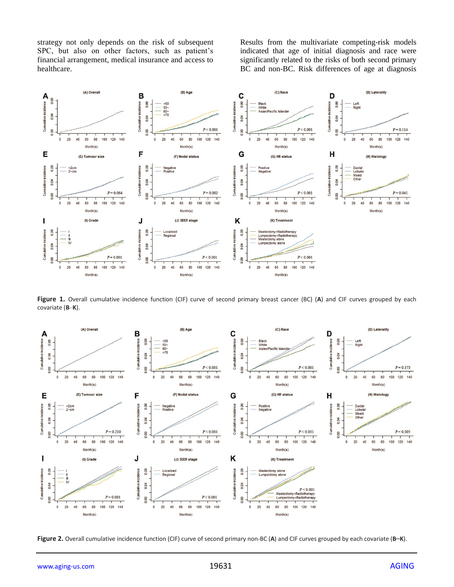strategy not only depends on the risk of subsequent SPC, but also on other factors, such as patient's financial arrangement, medical insurance and access to healthcare.

Results from the multivariate competing-risk models indicated that age of initial diagnosis and race were significantly related to the risks of both second primary BC and non-BC. Risk differences of age at diagnosis



**Figure 1.** Overall cumulative incidence function (CIF) curve of second primary breast cancer (BC) (**A**) and CIF curves grouped by each covariate (**B**–**K**).



**Figure 2.** Overall cumulative incidence function (CIF) curve of second primary non-BC (**A**) and CIF curves grouped by each covariate (**B**–**K**).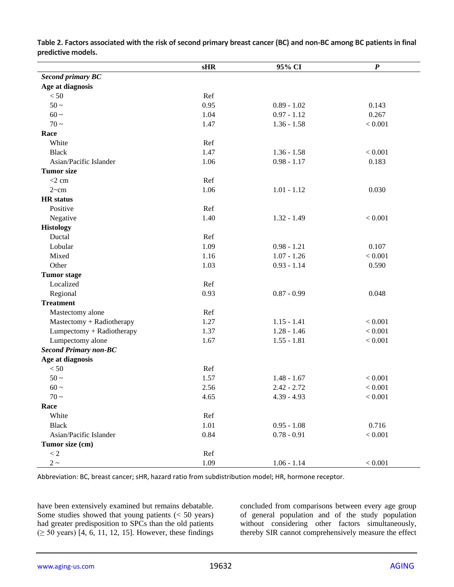|                              | sHR  | 95% CI        | $\boldsymbol{P}$ |
|------------------------------|------|---------------|------------------|
| <b>Second primary BC</b>     |      |               |                  |
| Age at diagnosis             |      |               |                  |
| < 50                         | Ref  |               |                  |
| $50 \sim$                    | 0.95 | $0.89 - 1.02$ | 0.143            |
| $60 \sim$                    | 1.04 | $0.97 - 1.12$ | 0.267            |
| $70-$                        | 1.47 | $1.36 - 1.58$ | < 0.001          |
| Race                         |      |               |                  |
| White                        | Ref  |               |                  |
| <b>Black</b>                 | 1.47 | $1.36 - 1.58$ | < 0.001          |
| Asian/Pacific Islander       | 1.06 | $0.98 - 1.17$ | 0.183            |
| <b>Tumor</b> size            |      |               |                  |
| $<$ 2 cm                     | Ref  |               |                  |
| 2~cm                         | 1.06 | $1.01 - 1.12$ | 0.030            |
| <b>HR</b> status             |      |               |                  |
| Positive                     | Ref  |               |                  |
| Negative                     | 1.40 | $1.32 - 1.49$ | < 0.001          |
| <b>Histology</b>             |      |               |                  |
| Ductal                       | Ref  |               |                  |
| Lobular                      | 1.09 | $0.98 - 1.21$ | 0.107            |
| Mixed                        | 1.16 | $1.07 - 1.26$ | < 0.001          |
| Other                        | 1.03 | $0.93 - 1.14$ | 0.590            |
| <b>Tumor</b> stage           |      |               |                  |
| Localized                    | Ref  |               |                  |
| Regional                     | 0.93 | $0.87 - 0.99$ | 0.048            |
| <b>Treatment</b>             |      |               |                  |
| Mastectomy alone             | Ref  |               |                  |
| Mastectomy + Radiotherapy    | 1.27 | $1.15 - 1.41$ | < 0.001          |
| Lumpectomy + Radiotherapy    | 1.37 | $1.28 - 1.46$ | < 0.001          |
| Lumpectomy alone             | 1.67 | $1.55 - 1.81$ | < 0.001          |
| <b>Second Primary non-BC</b> |      |               |                  |
| Age at diagnosis             |      |               |                  |
| $< 50$                       | Ref  |               |                  |
| $50-$                        | 1.57 | $1.48 - 1.67$ | < 0.001          |
| $60 \sim$                    | 2.56 | $2.42 - 2.72$ | < 0.001          |
| $70-$                        | 4.65 | $4.39 - 4.93$ | $< 0.001$        |
| Race                         |      |               |                  |
| White                        | Ref  |               |                  |
| <b>Black</b>                 | 1.01 | $0.95 - 1.08$ | 0.716            |
| Asian/Pacific Islander       | 0.84 | $0.78 - 0.91$ | < 0.001          |
| Tumor size (cm)              |      |               |                  |
| < 2                          | Ref  |               |                  |
| $2\sim$                      | 1.09 | $1.06 - 1.14$ | $< 0.001$        |

**Table 2. Factors associated with the risk of second primary breast cancer (BC) and non-BC among BC patients in final predictive models.**

Abbreviation: BC, breast cancer; sHR, hazard ratio from subdistribution model; HR, hormone receptor.

have been extensively examined but remains debatable. Some studies showed that young patients (< 50 years) had greater predisposition to SPCs than the old patients (≥ 50 years) [4, 6, 11, 12, 15]. However, these findings

concluded from comparisons between every age group of general population and of the study population without considering other factors simultaneously, thereby SIR cannot comprehensively measure the effect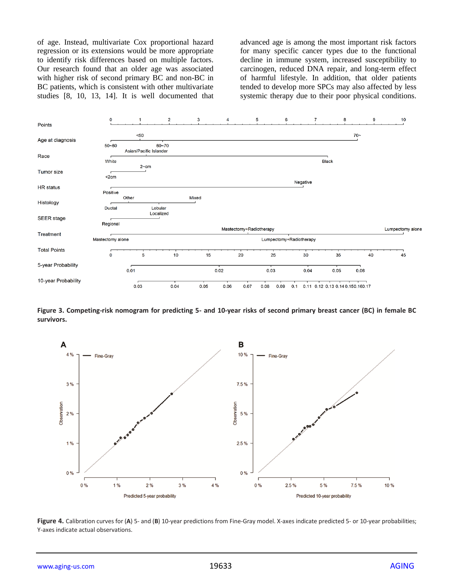of age. Instead, multivariate Cox proportional hazard regression or its extensions would be more appropriate to identify risk differences based on multiple factors. Our research found that an older age was associated with higher risk of second primary BC and non-BC in BC patients, which is consistent with other multivariate studies [8, 10, 13, 14]. It is well documented that advanced age is among the most important risk factors for many specific cancer types due to the functional decline in immune system, increased susceptibility to carcinogen, reduced DNA repair, and long-term effect of harmful lifestyle. In addition, that older patients tended to develop more SPCs may also affected by less systemic therapy due to their poor physical conditions.



**Figure 3. Competing-risk nomogram for predicting 5- and 10-year risks of second primary breast cancer (BC) in female BC survivors.**



**Figure 4.** Calibration curves for (**A**) 5- and (**B**) 10-year predictions from Fine-Gray model. X-axes indicate predicted 5- or 10-year probabilities; Y-axes indicate actual observations.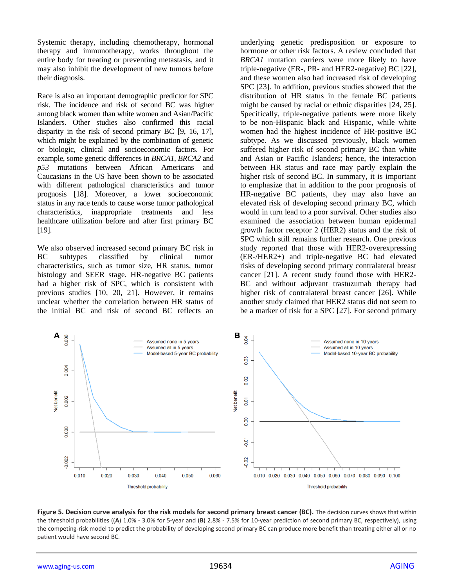Systemic therapy, including chemotherapy, hormonal therapy and immunotherapy, works throughout the entire body for treating or preventing metastasis, and it may also inhibit the development of new tumors before their diagnosis.

Race is also an important demographic predictor for SPC risk. The incidence and risk of second BC was higher among black women than white women and Asian/Pacific Islanders. Other studies also confirmed this racial disparity in the risk of second primary BC [9, 16, 17], which might be explained by the combination of genetic or biologic, clinical and socioeconomic factors. For example, some genetic differences in *BRCA1*, *BRCA2* and *p53* mutations between African Americans and Caucasians in the US have been shown to be associated with different pathological characteristics and tumor prognosis [18]. Moreover, a lower socioeconomic status in any race tends to cause worse tumor pathological characteristics, inappropriate treatments and less healthcare utilization before and after first primary BC [19].

We also observed increased second primary BC risk in BC subtypes classified by clinical tumor characteristics, such as tumor size, HR status, tumor histology and SEER stage. HR-negative BC patients had a higher risk of SPC, which is consistent with previous studies [10, 20, 21]. However, it remains unclear whether the correlation between HR status of the initial BC and risk of second BC reflects an underlying genetic predisposition or exposure to hormone or other risk factors. A review concluded that *BRCA1* mutation carriers were more likely to have triple-negative (ER-, PR- and HER2-negative) BC [22], and these women also had increased risk of developing SPC [23]. In addition, previous studies showed that the distribution of HR status in the female BC patients might be caused by racial or ethnic disparities [24, 25]. Specifically, triple-negative patients were more likely to be non-Hispanic black and Hispanic, while white women had the highest incidence of HR-positive BC subtype. As we discussed previously, black women suffered higher risk of second primary BC than white and Asian or Pacific Islanders; hence, the interaction between HR status and race may partly explain the higher risk of second BC. In summary, it is important to emphasize that in addition to the poor prognosis of HR-negative BC patients, they may also have an elevated risk of developing second primary BC, which would in turn lead to a poor survival. Other studies also examined the association between human epidermal growth factor receptor 2 (HER2) status and the risk of SPC which still remains further research. One previous study reported that those with HER2-overexpressing (ER-/HER2+) and triple-negative BC had elevated risks of developing second primary contralateral breast cancer [21]. A recent study found those with HER2- BC and without adjuvant trastuzumab therapy had higher risk of contralateral breast cancer [26]. While another study claimed that HER2 status did not seem to be a marker of risk for a SPC [27]. For second primary



**Figure 5. Decision curve analysis for the risk models for second primary breast cancer (BC).** The decision curves shows that within the threshold probabilities ((**A**) 1.0% - 3.0% for 5-year and (**B**) 2.8% - 7.5% for 10-year prediction of second primary BC, respectively), using the competing-risk model to predict the probability of developing second primary BC can produce more benefit than treating either all or no patient would have second BC.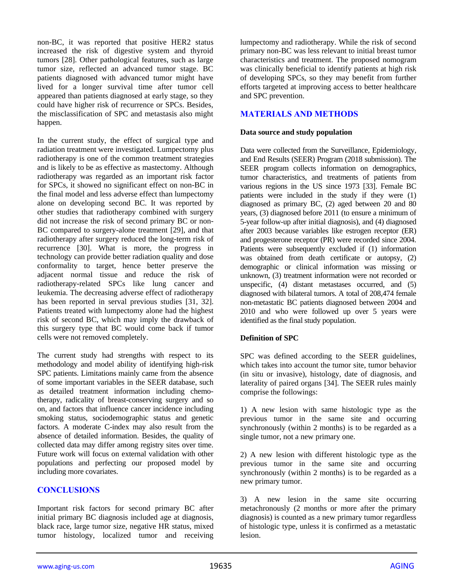non-BC, it was reported that positive HER2 status increased the risk of digestive system and thyroid tumors [28]. Other pathological features, such as large tumor size, reflected an advanced tumor stage. BC patients diagnosed with advanced tumor might have lived for a longer survival time after tumor cell appeared than patients diagnosed at early stage, so they could have higher risk of recurrence or SPCs. Besides, the misclassification of SPC and metastasis also might happen.

In the current study, the effect of surgical type and radiation treatment were investigated. Lumpectomy plus radiotherapy is one of the common treatment strategies and is likely to be as effective as mastectomy. Although radiotherapy was regarded as an important risk factor for SPCs, it showed no significant effect on non-BC in the final model and less adverse effect than lumpectomy alone on developing second BC. It was reported by other studies that radiotherapy combined with surgery did not increase the risk of second primary BC or non-BC compared to surgery-alone treatment [29], and that radiotherapy after surgery reduced the long-term risk of recurrence [30]. What is more, the progress in technology can provide better radiation quality and dose conformality to target, hence better preserve the adjacent normal tissue and reduce the risk of radiotherapy-related SPCs like lung cancer and leukemia. The decreasing adverse effect of radiotherapy has been reported in serval previous studies [31, 32]. Patients treated with lumpectomy alone had the highest risk of second BC, which may imply the drawback of this surgery type that BC would come back if tumor cells were not removed completely.

The current study had strengths with respect to its methodology and model ability of identifying high-risk SPC patients. Limitations mainly came from the absence of some important variables in the SEER database, such as detailed treatment information including chemotherapy, radicality of breast-conserving surgery and so on, and factors that influence cancer incidence including smoking status, sociodemographic status and genetic factors. A moderate C-index may also result from the absence of detailed information. Besides, the quality of collected data may differ among registry sites over time. Future work will focus on external validation with other populations and perfecting our proposed model by including more covariates.

#### **CONCLUSIONS**

Important risk factors for second primary BC after initial primary BC diagnosis included age at diagnosis, black race, large tumor size, negative HR status, mixed tumor histology, localized tumor and receiving

lumpectomy and radiotherapy. While the risk of second primary non-BC was less relevant to initial breast tumor characteristics and treatment. The proposed nomogram was clinically beneficial to identify patients at high risk of developing SPCs, so they may benefit from further efforts targeted at improving access to better healthcare and SPC prevention.

## **MATERIALS AND METHODS**

#### **Data source and study population**

Data were collected from the Surveillance, Epidemiology, and End Results (SEER) Program (2018 submission). The SEER program collects information on demographics, tumor characteristics, and treatments of patients from various regions in the US since 1973 [33]. Female BC patients were included in the study if they were (1) diagnosed as primary BC, (2) aged between 20 and 80 years, (3) diagnosed before 2011 (to ensure a minimum of 5-year follow-up after initial diagnosis), and (4) diagnosed after 2003 because variables like estrogen receptor (ER) and progesterone receptor (PR) were recorded since 2004. Patients were subsequently excluded if (1) information was obtained from death certificate or autopsy, (2) demographic or clinical information was missing or unknown, (3) treatment information were not recorded or unspecific, (4) distant metastases occurred, and (5) diagnosed with bilateral tumors. A total of 208,474 female non-metastatic BC patients diagnosed between 2004 and 2010 and who were followed up over 5 years were identified as the final study population.

#### **Definition of SPC**

SPC was defined according to the SEER guidelines, which takes into account the tumor site, tumor behavior (in situ or invasive), histology, date of diagnosis, and laterality of paired organs [34]. The SEER rules mainly comprise the followings:

1) A new lesion with same histologic type as the previous tumor in the same site and occurring synchronously (within 2 months) is to be regarded as a single tumor, not a new primary one.

2) A new lesion with different histologic type as the previous tumor in the same site and occurring synchronously (within 2 months) is to be regarded as a new primary tumor.

3) A new lesion in the same site occurring metachronously (2 months or more after the primary diagnosis) is counted as a new primary tumor regardless of histologic type, unless it is confirmed as a metastatic lesion.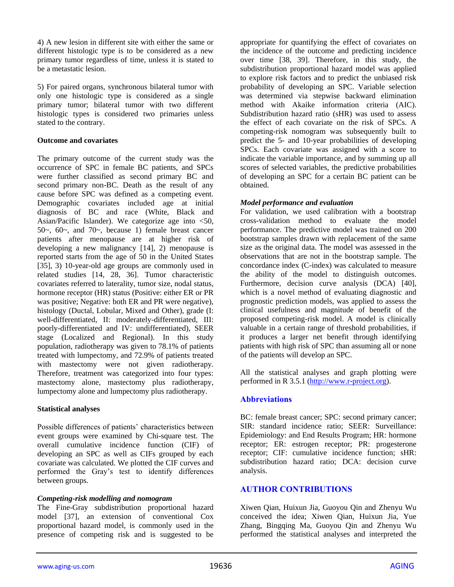4) A new lesion in different site with either the same or different histologic type is to be considered as a new primary tumor regardless of time, unless it is stated to be a metastatic lesion.

5) For paired organs, synchronous bilateral tumor with only one histologic type is considered as a single primary tumor; bilateral tumor with two different histologic types is considered two primaries unless stated to the contrary.

#### **Outcome and covariates**

The primary outcome of the current study was the occurrence of SPC in female BC patients, and SPCs were further classified as second primary BC and second primary non-BC. Death as the result of any cause before SPC was defined as a competing event. Demographic covariates included age at initial diagnosis of BC and race (White, Black and Asian/Pacific Islander). We categorize age into  $\leq 50$ , 50 $\sim$ , 60 $\sim$ , and 70 $\sim$ , because 1) female breast cancer patients after menopause are at higher risk of developing a new malignancy [14], 2) menopause is reported starts from the age of 50 in the United States [35], 3) 10-year-old age groups are commonly used in related studies [14, 28, 36]. Tumor characteristic covariates referred to laterality, tumor size, nodal status, hormone receptor (HR) status (Positive: either ER or PR was positive; Negative: both ER and PR were negative), histology (Ductal, Lobular, Mixed and Other), grade (I: well-differentiated, II: moderately-differentiated, III: poorly-differentiated and IV: undifferentiated), SEER stage (Localized and Regional). In this study population, radiotherapy was given to 78.1% of patients treated with lumpectomy, and 72.9% of patients treated with mastectomy were not given radiotherapy. Therefore, treatment was categorized into four types: mastectomy alone, mastectomy plus radiotherapy, lumpectomy alone and lumpectomy plus radiotherapy.

#### **Statistical analyses**

Possible differences of patients' characteristics between event groups were examined by Chi-square test. The overall cumulative incidence function (CIF) of developing an SPC as well as CIFs grouped by each covariate was calculated. We plotted the CIF curves and performed the Gray's test to identify differences between groups.

#### *Competing-risk modelling and nomogram*

The Fine-Gray subdistribution proportional hazard model [37], an extension of conventional Cox proportional hazard model, is commonly used in the presence of competing risk and is suggested to be

appropriate for quantifying the effect of covariates on the incidence of the outcome and predicting incidence over time [38, 39]. Therefore, in this study, the subdistribution proportional hazard model was applied to explore risk factors and to predict the unbiased risk probability of developing an SPC. Variable selection was determined via stepwise backward elimination method with Akaike information criteria (AIC). Subdistribution hazard ratio (sHR) was used to assess the effect of each covariate on the risk of SPCs. A competing-risk nomogram was subsequently built to predict the 5- and 10-year probabilities of developing SPCs. Each covariate was assigned with a score to indicate the variable importance, and by summing up all scores of selected variables, the predictive probabilities of developing an SPC for a certain BC patient can be obtained.

## *Model performance and evaluation*

For validation, we used calibration with a bootstrap cross-validation method to evaluate the model performance. The predictive model was trained on 200 bootstrap samples drawn with replacement of the same size as the original data. The model was assessed in the observations that are not in the bootstrap sample. The concordance index (C-index) was calculated to measure the ability of the model to distinguish outcomes. Furthermore, decision curve analysis (DCA) [40], which is a novel method of evaluating diagnostic and prognostic prediction models, was applied to assess the clinical usefulness and magnitude of benefit of the proposed competing-risk model. A model is clinically valuable in a certain range of threshold probabilities, if it produces a larger net benefit through identifying patients with high risk of SPC than assuming all or none of the patients will develop an SPC.

All the statistical analyses and graph plotting were performed in R 3.5.1 [\(http://www.r-project.org\)](http://www.r-project.org/).

## **Abbreviations**

BC: female breast cancer; SPC: second primary cancer; SIR: standard incidence ratio; SEER: Surveillance: Epidemiology: and End Results Program; HR: hormone receptor; ER: estrogen receptor; PR: progesterone receptor; CIF: cumulative incidence function; sHR: subdistribution hazard ratio; DCA: decision curve analysis.

## **AUTHOR CONTRIBUTIONS**

Xiwen Qian, Huixun Jia, Guoyou Qin and Zhenyu Wu conceived the idea; Xiwen Qian, Huixun Jia, Yue Zhang, Bingqing Ma, Guoyou Qin and Zhenyu Wu performed the statistical analyses and interpreted the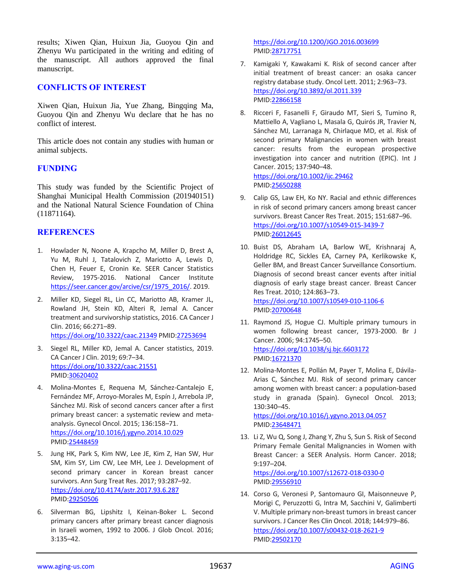results; Xiwen Qian, Huixun Jia, Guoyou Qin and Zhenyu Wu participated in the writing and editing of the manuscript. All authors approved the final manuscript.

## **CONFLICTS OF INTEREST**

Xiwen Qian, Huixun Jia, Yue Zhang, Bingqing Ma, Guoyou Qin and Zhenyu Wu declare that he has no conflict of interest.

This article does not contain any studies with human or animal subjects.

#### **FUNDING**

This study was funded by the Scientific Project of Shanghai Municipal Health Commission (201940151) and the National Natural Science Foundation of China (11871164).

## **REFERENCES**

- 1. Howlader N, Noone A, Krapcho M, Miller D, Brest A, Yu M, Ruhl J, Tatalovich Z, Mariotto A, Lewis D, Chen H, Feuer E, Cronin Ke. SEER Cancer Statistics Review, 1975-2016. National Cancer Institute [https://seer.cancer.gov/arcive/csr/1975\\_2016/.](https://seer.cancer.gov/arcive/csr/1975_2016/) 2019.
- 2. Miller KD, Siegel RL, Lin CC, Mariotto AB, Kramer JL, Rowland JH, Stein KD, Alteri R, Jemal A. Cancer treatment and survivorship statistics, 2016. CA Cancer J Clin. 2016; 66:271–89. <https://doi.org/10.3322/caac.21349> PMI[D:27253694](https://pubmed.ncbi.nlm.nih.gov/27253694)
- 3. Siegel RL, Miller KD, Jemal A. Cancer statistics, 2019. CA Cancer J Clin. 2019; 69:7–34. <https://doi.org/10.3322/caac.21551> PMID[:30620402](https://pubmed.ncbi.nlm.nih.gov/30620402)
- 4. Molina-Montes E, Requena M, Sánchez-Cantalejo E, Fernández MF, Arroyo-Morales M, Espín J, Arrebola JP, Sánchez MJ. Risk of second cancers cancer after a first primary breast cancer: a systematic review and metaanalysis. Gynecol Oncol. 2015; 136:158–71. <https://doi.org/10.1016/j.ygyno.2014.10.029> PMID[:25448459](https://pubmed.ncbi.nlm.nih.gov/25448459)
- 5. Jung HK, Park S, Kim NW, Lee JE, Kim Z, Han SW, Hur SM, Kim SY, Lim CW, Lee MH, Lee J. Development of second primary cancer in Korean breast cancer survivors. Ann Surg Treat Res. 2017; 93:287–92. <https://doi.org/10.4174/astr.2017.93.6.287> PMID[:29250506](https://pubmed.ncbi.nlm.nih.gov/29250506)
- 6. Silverman BG, Lipshitz I, Keinan-Boker L. Second primary cancers after primary breast cancer diagnosis in Israeli women, 1992 to 2006. J Glob Oncol. 2016; 3:135–42.

<https://doi.org/10.1200/JGO.2016.003699> PMI[D:28717751](https://pubmed.ncbi.nlm.nih.gov/28717751)

- 7. Kamigaki Y, Kawakami K. Risk of second cancer after initial treatment of breast cancer: an osaka cancer registry database study. Oncol Lett. 2011; 2:963–73. <https://doi.org/10.3892/ol.2011.339> PMI[D:22866158](https://pubmed.ncbi.nlm.nih.gov/22866158)
- 8. Ricceri F, Fasanelli F, Giraudo MT, Sieri S, Tumino R, Mattiello A, Vagliano L, Masala G, Quirós JR, Travier N, Sánchez MJ, Larranaga N, Chirlaque MD, et al. Risk of second primary Malignancies in women with breast cancer: results from the european prospective investigation into cancer and nutrition (EPIC). Int J Cancer. 2015; 137:940–48. <https://doi.org/10.1002/ijc.29462> PMI[D:25650288](https://pubmed.ncbi.nlm.nih.gov/25650288)
- 9. Calip GS, Law EH, Ko NY. Racial and ethnic differences in risk of second primary cancers among breast cancer survivors. Breast Cancer Res Treat. 2015; 151:687–96. <https://doi.org/10.1007/s10549-015-3439-7> PMI[D:26012645](https://pubmed.ncbi.nlm.nih.gov/26012645)
- 10. Buist DS, Abraham LA, Barlow WE, Krishnaraj A, Holdridge RC, Sickles EA, Carney PA, Kerlikowske K, Geller BM, and Breast Cancer Surveillance Consortium. Diagnosis of second breast cancer events after initial diagnosis of early stage breast cancer. Breast Cancer Res Treat. 2010; 124:863–73. <https://doi.org/10.1007/s10549-010-1106-6> PMI[D:20700648](https://pubmed.ncbi.nlm.nih.gov/20700648)
- 11. Raymond JS, Hogue CJ. Multiple primary tumours in women following breast cancer, 1973-2000. Br J Cancer. 2006; 94:1745–50. <https://doi.org/10.1038/sj.bjc.6603172> PMI[D:16721370](https://pubmed.ncbi.nlm.nih.gov/16721370)
- 12. Molina-Montes E, Pollán M, Payer T, Molina E, Dávila-Arias C, Sánchez MJ. Risk of second primary cancer among women with breast cancer: a population-based study in granada (Spain). Gynecol Oncol. 2013; 130:340–45. <https://doi.org/10.1016/j.ygyno.2013.04.057> PMI[D:23648471](https://pubmed.ncbi.nlm.nih.gov/23648471)
- 13. Li Z, Wu Q, Song J, Zhang Y, Zhu S, Sun S. Risk of Second Primary Female Genital Malignancies in Women with Breast Cancer: a SEER Analysis. Horm Cancer. 2018; 9:197–204. <https://doi.org/10.1007/s12672-018-0330-0> PMI[D:29556910](https://pubmed.ncbi.nlm.nih.gov/29556910)
- 14. Corso G, Veronesi P, Santomauro GI, Maisonneuve P, Morigi C, Peruzzotti G, Intra M, Sacchini V, Galimberti V. Multiple primary non-breast tumors in breast cancer survivors. J Cancer Res Clin Oncol. 2018; 144:979–86. <https://doi.org/10.1007/s00432-018-2621-9> PMI[D:29502170](https://pubmed.ncbi.nlm.nih.gov/29502170)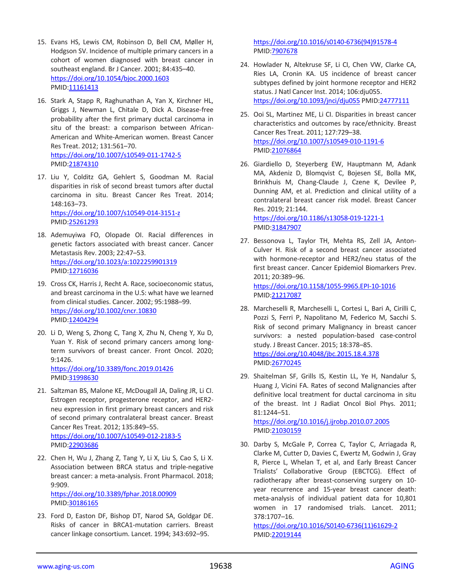- 15. Evans HS, Lewis CM, Robinson D, Bell CM, Møller H, Hodgson SV. Incidence of multiple primary cancers in a cohort of women diagnosed with breast cancer in southeast england. Br J Cancer. 2001; 84:435–40. <https://doi.org/10.1054/bjoc.2000.1603> PMID[:11161413](https://pubmed.ncbi.nlm.nih.gov/11161413)
- 16. Stark A, Stapp R, Raghunathan A, Yan X, Kirchner HL, Griggs J, Newman L, Chitale D, Dick A. Disease-free probability after the first primary ductal carcinoma in situ of the breast: a comparison between African-American and White-American women. Breast Cancer Res Treat. 2012; 131:561–70. <https://doi.org/10.1007/s10549-011-1742-5> PMID[:21874310](https://pubmed.ncbi.nlm.nih.gov/21874310)
- 17. Liu Y, Colditz GA, Gehlert S, Goodman M. Racial disparities in risk of second breast tumors after ductal carcinoma in situ. Breast Cancer Res Treat. 2014; 148:163–73. <https://doi.org/10.1007/s10549-014-3151-z> PMID[:25261293](https://pubmed.ncbi.nlm.nih.gov/25261293)

18. Ademuyiwa FO, Olopade OI. Racial differences in genetic factors associated with breast cancer. Cancer Metastasis Rev. 2003; 22:47–53. <https://doi.org/10.1023/a:1022259901319> PMID[:12716036](https://pubmed.ncbi.nlm.nih.gov/12716036)

- 19. Cross CK, Harris J, Recht A. Race, socioeconomic status, and breast carcinoma in the U.S: what have we learned from clinical studies. Cancer. 2002; 95:1988–99. <https://doi.org/10.1002/cncr.10830> PMID[:12404294](https://pubmed.ncbi.nlm.nih.gov/12404294)
- 20. Li D, Weng S, Zhong C, Tang X, Zhu N, Cheng Y, Xu D, Yuan Y. Risk of second primary cancers among longterm survivors of breast cancer. Front Oncol. 2020; 9:1426.

<https://doi.org/10.3389/fonc.2019.01426> PMID[:31998630](https://pubmed.ncbi.nlm.nih.gov/31998630)

- 21. Saltzman BS, Malone KE, McDougall JA, Daling JR, Li CI. Estrogen receptor, progesterone receptor, and HER2 neu expression in first primary breast cancers and risk of second primary contralateral breast cancer. Breast Cancer Res Treat. 2012; 135:849–55. <https://doi.org/10.1007/s10549-012-2183-5> PMID[:22903686](https://pubmed.ncbi.nlm.nih.gov/22903686)
- 22. Chen H, Wu J, Zhang Z, Tang Y, Li X, Liu S, Cao S, Li X. Association between BRCA status and triple-negative breast cancer: a meta-analysis. Front Pharmacol. 2018; 9:909.

<https://doi.org/10.3389/fphar.2018.00909> PMID[:30186165](https://pubmed.ncbi.nlm.nih.gov/30186165)

23. Ford D, Easton DF, Bishop DT, Narod SA, Goldgar DE. Risks of cancer in BRCA1-mutation carriers. Breast cancer linkage consortium. Lancet. 1994; 343:692–95.

[https://doi.org/10.1016/s0140-6736\(94\)91578-4](https://doi.org/10.1016/s0140-6736(94)91578-4) PMI[D:7907678](https://pubmed.ncbi.nlm.nih.gov/7907678)

- 24. Howlader N, Altekruse SF, Li CI, Chen VW, Clarke CA, Ries LA, Cronin KA. US incidence of breast cancer subtypes defined by joint hormone receptor and HER2 status. J Natl Cancer Inst. 2014; 106:dju055. <https://doi.org/10.1093/jnci/dju055> PMID[:24777111](https://pubmed.ncbi.nlm.nih.gov/24777111)
- 25. Ooi SL, Martinez ME, Li CI. Disparities in breast cancer characteristics and outcomes by race/ethnicity. Breast Cancer Res Treat. 2011; 127:729–38. <https://doi.org/10.1007/s10549-010-1191-6> PMI[D:21076864](https://pubmed.ncbi.nlm.nih.gov/21076864)
- 26. Giardiello D, Steyerberg EW, Hauptmann M, Adank MA, Akdeniz D, Blomqvist C, Bojesen SE, Bolla MK, Brinkhuis M, Chang-Claude J, Czene K, Devilee P, Dunning AM, et al. Prediction and clinical utility of a contralateral breast cancer risk model. Breast Cancer Res. 2019; 21:144. <https://doi.org/10.1186/s13058-019-1221-1>

PMI[D:31847907](https://pubmed.ncbi.nlm.nih.gov/31847907)

27. Bessonova L, Taylor TH, Mehta RS, Zell JA, Anton-Culver H. Risk of a second breast cancer associated with hormone-receptor and HER2/neu status of the first breast cancer. Cancer Epidemiol Biomarkers Prev. 2011; 20:389–96. <https://doi.org/10.1158/1055-9965.EPI-10-1016>

PMI[D:21217087](https://pubmed.ncbi.nlm.nih.gov/21217087)

- 28. Marcheselli R, Marcheselli L, Cortesi L, Bari A, Cirilli C, Pozzi S, Ferri P, Napolitano M, Federico M, Sacchi S. Risk of second primary Malignancy in breast cancer survivors: a nested population-based case-control study. J Breast Cancer. 2015; 18:378–85. <https://doi.org/10.4048/jbc.2015.18.4.378> PMI[D:26770245](https://pubmed.ncbi.nlm.nih.gov/26770245)
- 29. Shaitelman SF, Grills IS, Kestin LL, Ye H, Nandalur S, Huang J, Vicini FA. Rates of second Malignancies after definitive local treatment for ductal carcinoma in situ of the breast. Int J Radiat Oncol Biol Phys. 2011; 81:1244–51.

<https://doi.org/10.1016/j.ijrobp.2010.07.2005> PMI[D:21030159](https://pubmed.ncbi.nlm.nih.gov/21030159)

30. Darby S, McGale P, Correa C, Taylor C, Arriagada R, Clarke M, Cutter D, Davies C, Ewertz M, Godwin J, Gray R, Pierce L, Whelan T, et al, and Early Breast Cancer Trialists' Collaborative Group (EBCTCG). Effect of radiotherapy after breast-conserving surgery on 10 year recurrence and 15-year breast cancer death: meta-analysis of individual patient data for 10,801 women in 17 randomised trials. Lancet. 2011; 378:1707–16.

[https://doi.org/10.1016/S0140-6736\(11\)61629-2](https://doi.org/10.1016/S0140-6736(11)61629-2) PMI[D:22019144](https://pubmed.ncbi.nlm.nih.gov/22019144)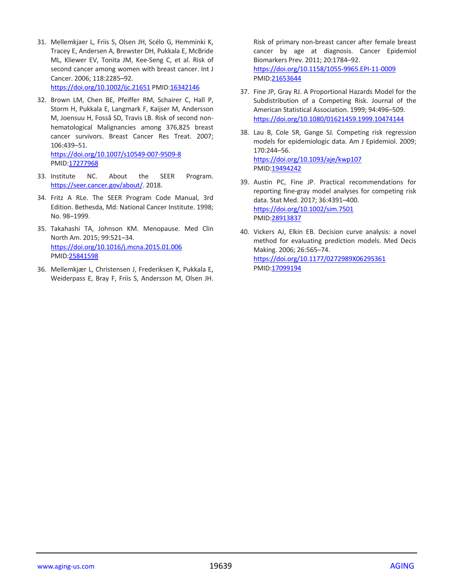- 31. Mellemkjaer L, Friis S, Olsen JH, Scélo G, Hemminki K, Tracey E, Andersen A, Brewster DH, Pukkala E, McBride ML, Kliewer EV, Tonita JM, Kee-Seng C, et al. Risk of second cancer among women with breast cancer. Int J Cancer. 2006; 118:2285–92. <https://doi.org/10.1002/ijc.21651> PMID[:16342146](https://pubmed.ncbi.nlm.nih.gov/16342146)
- 32. Brown LM, Chen BE, Pfeiffer RM, Schairer C, Hall P, Storm H, Pukkala E, Langmark F, Kaijser M, Andersson M, Joensuu H, Fosså SD, Travis LB. Risk of second nonhematological Malignancies among 376,825 breast cancer survivors. Breast Cancer Res Treat. 2007; 106:439–51. <https://doi.org/10.1007/s10549-007-9509-8>

PMID[:17277968](https://pubmed.ncbi.nlm.nih.gov/17277968)

- 33. Institute NC. About the SEER Program. [https://seer.cancer.gov/about/.](https://seer.cancer.gov/about/) 2018.
- 34. Fritz A RLe. The SEER Program Code Manual, 3rd Edition. Bethesda, Md: National Cancer Institute. 1998; No. 98–1999.
- 35. Takahashi TA, Johnson KM. Menopause. Med Clin North Am. 2015; 99:521–34. <https://doi.org/10.1016/j.mcna.2015.01.006> PMID[:25841598](https://pubmed.ncbi.nlm.nih.gov/25841598)
- 36. Mellemkjær L, Christensen J, Frederiksen K, Pukkala E, Weiderpass E, Bray F, Friis S, Andersson M, Olsen JH.

Risk of primary non-breast cancer after female breast cancer by age at diagnosis. Cancer Epidemiol Biomarkers Prev. 2011; 20:1784–92. <https://doi.org/10.1158/1055-9965.EPI-11-0009> PMI[D:21653644](https://pubmed.ncbi.nlm.nih.gov/21653644)

- 37. Fine JP, Gray RJ. A Proportional Hazards Model for the Subdistribution of a Competing Risk. Journal of the American Statistical Association. 1999; 94:496–509. <https://doi.org/10.1080/01621459.1999.10474144>
- 38. Lau B, Cole SR, Gange SJ. Competing risk regression models for epidemiologic data. Am J Epidemiol. 2009; 170:244–56. <https://doi.org/10.1093/aje/kwp107> PMI[D:19494242](https://pubmed.ncbi.nlm.nih.gov/19494242)
- 39. Austin PC, Fine JP. Practical recommendations for reporting fine-gray model analyses for competing risk data. Stat Med. 2017; 36:4391–400. <https://doi.org/10.1002/sim.7501> PMI[D:28913837](https://pubmed.ncbi.nlm.nih.gov/28913837)
- 40. Vickers AJ, Elkin EB. Decision curve analysis: a novel method for evaluating prediction models. Med Decis Making. 2006; 26:565–74. <https://doi.org/10.1177/0272989X06295361> PMI[D:17099194](https://pubmed.ncbi.nlm.nih.gov/17099194)